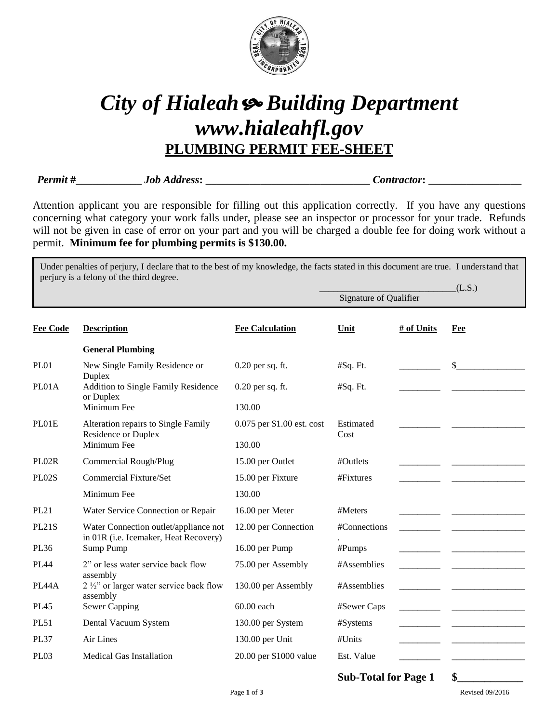

## *City of Hialeah Building Department www.hialeahfl.gov* **PLUMBING PERMIT FEE-SHEET**

*Permit* **#**\_\_\_\_\_\_\_\_\_\_\_\_ *Job Address***:** \_\_\_\_\_\_\_\_\_\_\_\_\_\_\_\_\_\_\_\_\_\_\_\_\_\_\_\_\_\_ *Contractor***:** \_\_\_\_\_\_\_\_\_\_\_\_\_\_\_\_\_

Signature of Qualifier

Attention applicant you are responsible for filling out this application correctly. If you have any questions concerning what category your work falls under, please see an inspector or processor for your trade. Refunds will not be given in case of error on your part and you will be charged a double fee for doing work without a permit. **Minimum fee for plumbing permits is \$130.00.**

Under penalties of perjury, I declare that to the best of my knowledge, the facts stated in this document are true. I understand that perjury is a felony of the third degree.

 $(L.S.)$ 

| <b>Description</b>                                                             | <b>Fee Calculation</b>     | Unit              | # of Units | Fee |
|--------------------------------------------------------------------------------|----------------------------|-------------------|------------|-----|
| <b>General Plumbing</b>                                                        |                            |                   |            |     |
| New Single Family Residence or                                                 | $0.20$ per sq. ft.         | #Sq. Ft.          |            | \$  |
| Addition to Single Family Residence<br>or Duplex                               | $0.20$ per sq. ft.         | #Sq. Ft.          |            |     |
| Minimum Fee                                                                    | 130.00                     |                   |            |     |
| Alteration repairs to Single Family<br>Residence or Duplex                     | 0.075 per \$1.00 est. cost | Estimated<br>Cost |            |     |
| Minimum Fee                                                                    | 130.00                     |                   |            |     |
| Commercial Rough/Plug                                                          | 15.00 per Outlet           | #Outlets          |            |     |
| <b>Commercial Fixture/Set</b>                                                  | 15.00 per Fixture          | #Fixtures         |            |     |
| Minimum Fee                                                                    | 130.00                     |                   |            |     |
| Water Service Connection or Repair                                             | 16.00 per Meter            | #Meters           |            |     |
| Water Connection outlet/appliance not<br>in 01R (i.e. Icemaker, Heat Recovery) | 12.00 per Connection       | #Connections      |            |     |
| Sump Pump                                                                      | 16.00 per Pump             | #Pumps            |            |     |
| 2" or less water service back flow                                             | 75.00 per Assembly         | #Assemblies       |            |     |
| 2 1/2" or larger water service back flow<br>assembly                           | 130.00 per Assembly        | #Assemblies       |            |     |
| <b>Sewer Capping</b>                                                           | 60.00 each                 | #Sewer Caps       |            |     |
| Dental Vacuum System                                                           | 130.00 per System          | #Systems          |            |     |
| Air Lines                                                                      | 130.00 per Unit            | #Units            |            |     |
| <b>Medical Gas Installation</b>                                                | 20.00 per \$1000 value     | Est. Value        |            |     |
|                                                                                | Duplex<br>assembly         |                   |            |     |

**Sub-Total for Page 1 \$\_\_\_\_\_\_\_\_\_\_\_\_**

Page **1** of **3** Revised 09/2016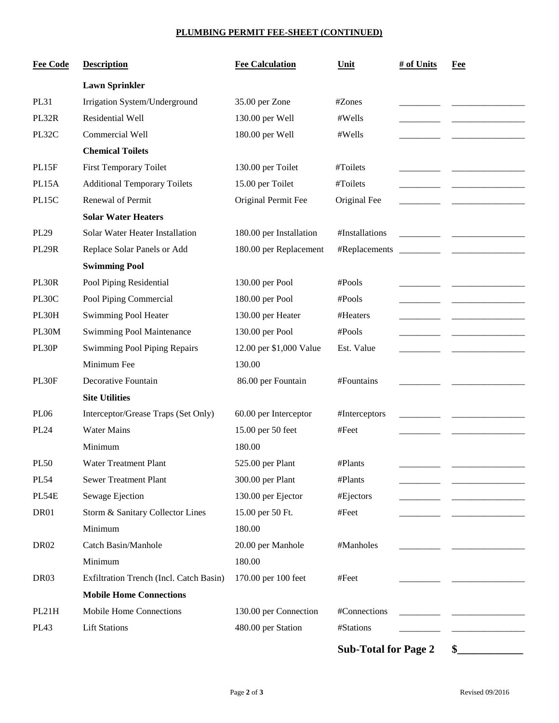## **PLUMBING PERMIT FEE-SHEET (CONTINUED)**

| <b>Fee Code</b>  | <b>Description</b>                      | <b>Fee Calculation</b>  | Unit                        | # of Units | Fee |
|------------------|-----------------------------------------|-------------------------|-----------------------------|------------|-----|
|                  | <b>Lawn Sprinkler</b>                   |                         |                             |            |     |
| <b>PL31</b>      | Irrigation System/Underground           | 35.00 per Zone          | #Zones                      |            |     |
| PL32R            | Residential Well                        | 130.00 per Well         | #Wells                      |            |     |
| PL32C            | Commercial Well                         | 180.00 per Well         | #Wells                      |            |     |
|                  | <b>Chemical Toilets</b>                 |                         |                             |            |     |
| PL15F            | <b>First Temporary Toilet</b>           | 130.00 per Toilet       | #Toilets                    |            |     |
| PL15A            | <b>Additional Temporary Toilets</b>     | 15.00 per Toilet        | #Toilets                    |            |     |
| PL15C            | Renewal of Permit                       | Original Permit Fee     | Original Fee                |            |     |
|                  | <b>Solar Water Heaters</b>              |                         |                             |            |     |
| PL29             | Solar Water Heater Installation         | 180.00 per Installation | #Installations              |            |     |
| PL29R            | Replace Solar Panels or Add             | 180.00 per Replacement  | #Replacements               |            |     |
|                  | <b>Swimming Pool</b>                    |                         |                             |            |     |
| PL30R            | Pool Piping Residential                 | 130.00 per Pool         | #Pools                      |            |     |
| PL30C            | Pool Piping Commercial                  | 180.00 per Pool         | #Pools                      |            |     |
| PL30H            | <b>Swimming Pool Heater</b>             | 130.00 per Heater       | #Heaters                    |            |     |
| PL30M            | Swimming Pool Maintenance               | 130.00 per Pool         | #Pools                      |            |     |
| PL30P            | <b>Swimming Pool Piping Repairs</b>     | 12.00 per \$1,000 Value | Est. Value                  |            |     |
|                  | Minimum Fee                             | 130.00                  |                             |            |     |
| PL30F            | Decorative Fountain                     | 86.00 per Fountain      | #Fountains                  |            |     |
|                  | <b>Site Utilities</b>                   |                         |                             |            |     |
| <b>PL06</b>      | Interceptor/Grease Traps (Set Only)     | 60.00 per Interceptor   | #Interceptors               |            |     |
| <b>PL24</b>      | <b>Water Mains</b>                      | 15.00 per 50 feet       | #Feet                       |            |     |
|                  | Minimum                                 | 180.00                  |                             |            |     |
| <b>PL50</b>      | Water Treatment Plant                   | 525.00 per Plant        | #Plants                     |            |     |
| <b>PL54</b>      | <b>Sewer Treatment Plant</b>            | 300.00 per Plant        | #Plants                     |            |     |
| PL54E            | Sewage Ejection                         | 130.00 per Ejector      | #Ejectors                   |            |     |
| DR01             | Storm & Sanitary Collector Lines        | 15.00 per 50 Ft.        | #Feet                       |            |     |
|                  | Minimum                                 | 180.00                  |                             |            |     |
| <b>DR02</b>      | Catch Basin/Manhole                     | 20.00 per Manhole       | #Manholes                   |            |     |
|                  | Minimum                                 | 180.00                  |                             |            |     |
| DR03             | Exfiltration Trench (Incl. Catch Basin) | 170.00 per 100 feet     | #Feet                       |            |     |
|                  | <b>Mobile Home Connections</b>          |                         |                             |            |     |
| PL21H            | Mobile Home Connections                 | 130.00 per Connection   | #Connections                |            |     |
| PL <sub>43</sub> | <b>Lift Stations</b>                    | 480.00 per Station      | #Stations                   |            |     |
|                  |                                         |                         | <b>Sub-Total for Page 2</b> |            | \$  |